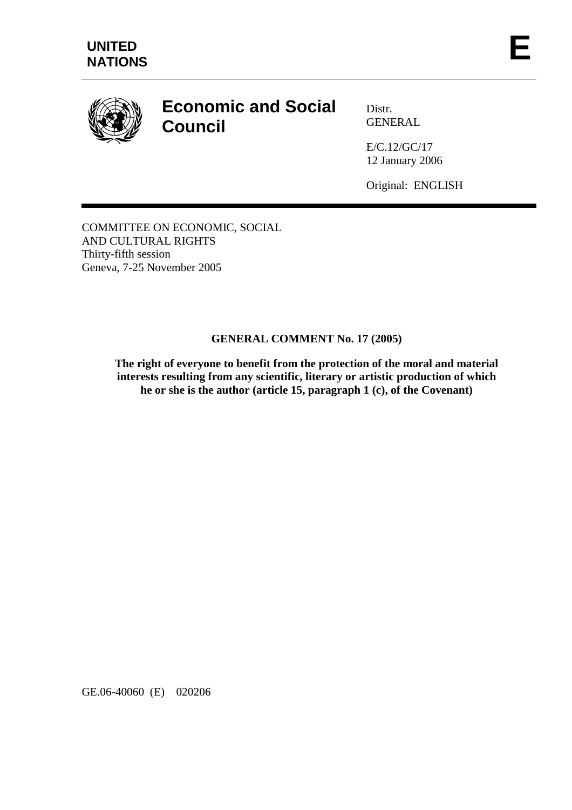

# **Economic and Social Council**

Distr. GENERAL

E/C.12/GC/17 12 January 2006

Original: ENGLISH

COMMITTEE ON ECONOMIC, SOCIAL AND CULTURAL RIGHTS Thirty-fifth session Geneva, 7-25 November 2005

# **GENERAL COMMENT No. 17 (2005)**

**The right of everyone to benefit from the protection of the moral and material interests resulting from any scientific, literary or artistic production of which he or she is the author (article 15, paragraph 1 (c), of the Covenant)** 

GE.06-40060 (E) 020206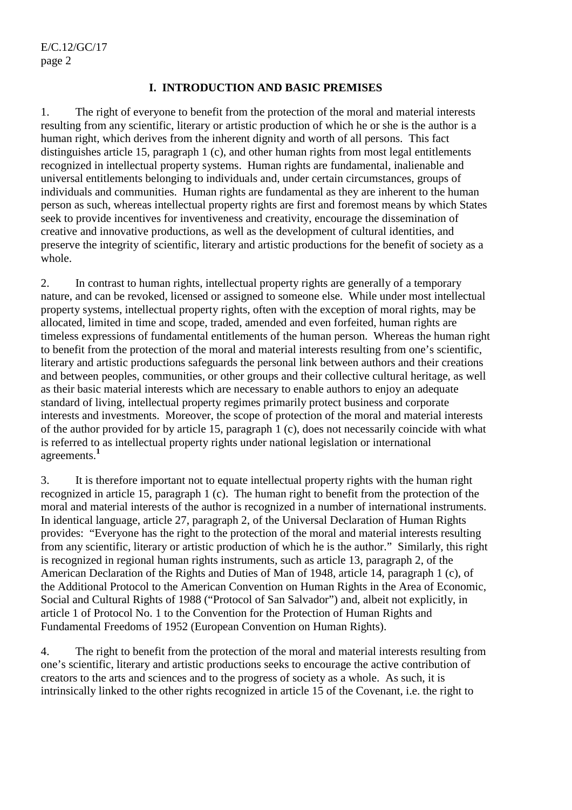#### **I. INTRODUCTION AND BASIC PREMISES**

1. The right of everyone to benefit from the protection of the moral and material interests resulting from any scientific, literary or artistic production of which he or she is the author is a human right, which derives from the inherent dignity and worth of all persons. This fact distinguishes article 15, paragraph 1 (c), and other human rights from most legal entitlements recognized in intellectual property systems. Human rights are fundamental, inalienable and universal entitlements belonging to individuals and, under certain circumstances, groups of individuals and communities. Human rights are fundamental as they are inherent to the human person as such, whereas intellectual property rights are first and foremost means by which States seek to provide incentives for inventiveness and creativity, encourage the dissemination of creative and innovative productions, as well as the development of cultural identities, and preserve the integrity of scientific, literary and artistic productions for the benefit of society as a whole.

2. In contrast to human rights, intellectual property rights are generally of a temporary nature, and can be revoked, licensed or assigned to someone else. While under most intellectual property systems, intellectual property rights, often with the exception of moral rights, may be allocated, limited in time and scope, traded, amended and even forfeited, human rights are timeless expressions of fundamental entitlements of the human person. Whereas the human right to benefit from the protection of the moral and material interests resulting from one's scientific, literary and artistic productions safeguards the personal link between authors and their creations and between peoples, communities, or other groups and their collective cultural heritage, as well as their basic material interests which are necessary to enable authors to enjoy an adequate standard of living, intellectual property regimes primarily protect business and corporate interests and investments. Moreover, the scope of protection of the moral and material interests of the author provided for by article 15, paragraph 1 (c), does not necessarily coincide with what is referred to as intellectual property rights under national legislation or international agreements.**<sup>1</sup>**

3. It is therefore important not to equate intellectual property rights with the human right recognized in article 15, paragraph 1 (c). The human right to benefit from the protection of the moral and material interests of the author is recognized in a number of international instruments. In identical language, article 27, paragraph 2, of the Universal Declaration of Human Rights provides: "Everyone has the right to the protection of the moral and material interests resulting from any scientific, literary or artistic production of which he is the author." Similarly, this right is recognized in regional human rights instruments, such as article 13, paragraph 2, of the American Declaration of the Rights and Duties of Man of 1948, article 14, paragraph 1 (c), of the Additional Protocol to the American Convention on Human Rights in the Area of Economic, Social and Cultural Rights of 1988 ("Protocol of San Salvador") and, albeit not explicitly, in article 1 of Protocol No. 1 to the Convention for the Protection of Human Rights and Fundamental Freedoms of 1952 (European Convention on Human Rights).

4. The right to benefit from the protection of the moral and material interests resulting from one's scientific, literary and artistic productions seeks to encourage the active contribution of creators to the arts and sciences and to the progress of society as a whole. As such, it is intrinsically linked to the other rights recognized in article 15 of the Covenant, i.e. the right to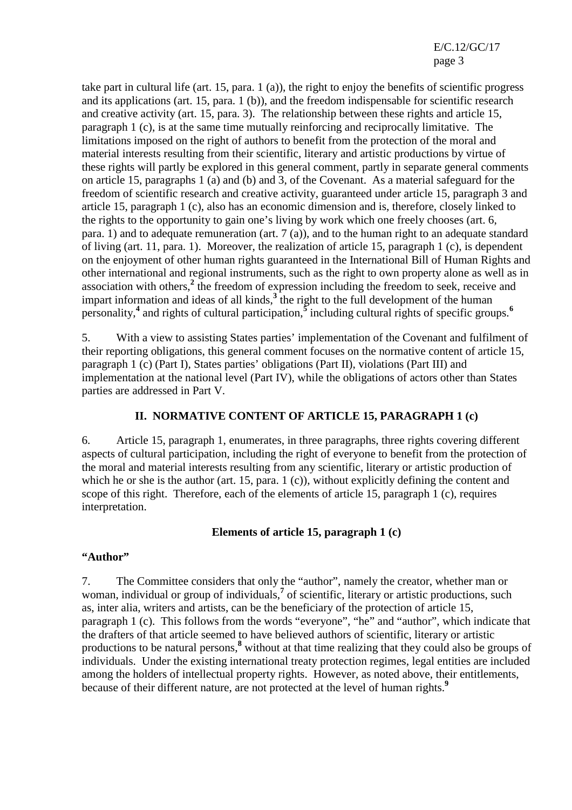take part in cultural life (art. 15, para. 1 (a)), the right to enjoy the benefits of scientific progress and its applications (art. 15, para. 1 (b)), and the freedom indispensable for scientific research and creative activity (art. 15, para. 3). The relationship between these rights and article 15, paragraph 1 (c), is at the same time mutually reinforcing and reciprocally limitative. The limitations imposed on the right of authors to benefit from the protection of the moral and material interests resulting from their scientific, literary and artistic productions by virtue of these rights will partly be explored in this general comment, partly in separate general comments on article 15, paragraphs 1 (a) and (b) and 3, of the Covenant. As a material safeguard for the freedom of scientific research and creative activity, guaranteed under article 15, paragraph 3 and article 15, paragraph 1 (c), also has an economic dimension and is, therefore, closely linked to the rights to the opportunity to gain one's living by work which one freely chooses (art. 6, para. 1) and to adequate remuneration (art.  $7 \text{ (a)}$ ), and to the human right to an adequate standard of living (art. 11, para. 1). Moreover, the realization of article 15, paragraph 1 (c), is dependent on the enjoyment of other human rights guaranteed in the International Bill of Human Rights and other international and regional instruments, such as the right to own property alone as well as in association with others,<sup>2</sup> the freedom of expression including the freedom to seek, receive and impart information and ideas of all kinds, $3$ <sup>the</sup> right to the full development of the human personality,**<sup>4</sup>** and rights of cultural participation,**<sup>5</sup>** including cultural rights of specific groups.**<sup>6</sup>**

5. With a view to assisting States parties' implementation of the Covenant and fulfilment of their reporting obligations, this general comment focuses on the normative content of article 15, paragraph 1 (c) (Part I), States parties' obligations (Part II), violations (Part III) and implementation at the national level (Part IV), while the obligations of actors other than States parties are addressed in Part V.

#### **II. NORMATIVE CONTENT OF ARTICLE 15, PARAGRAPH 1 (c)**

6. Article 15, paragraph 1, enumerates, in three paragraphs, three rights covering different aspects of cultural participation, including the right of everyone to benefit from the protection of the moral and material interests resulting from any scientific, literary or artistic production of which he or she is the author (art. 15, para. 1 (c)), without explicitly defining the content and scope of this right. Therefore, each of the elements of article 15, paragraph 1 (c), requires interpretation.

#### **Elements of article 15, paragraph 1 (c)**

#### **"Author"**

7. The Committee considers that only the "author", namely the creator, whether man or woman, individual or group of individuals,<sup>7</sup> of scientific, literary or artistic productions, such as, inter alia, writers and artists, can be the beneficiary of the protection of article 15, paragraph 1 (c). This follows from the words "everyone", "he" and "author", which indicate that the drafters of that article seemed to have believed authors of scientific, literary or artistic productions to be natural persons,**<sup>8</sup>** without at that time realizing that they could also be groups of individuals. Under the existing international treaty protection regimes, legal entities are included among the holders of intellectual property rights. However, as noted above, their entitlements, because of their different nature, are not protected at the level of human rights.**<sup>9</sup>**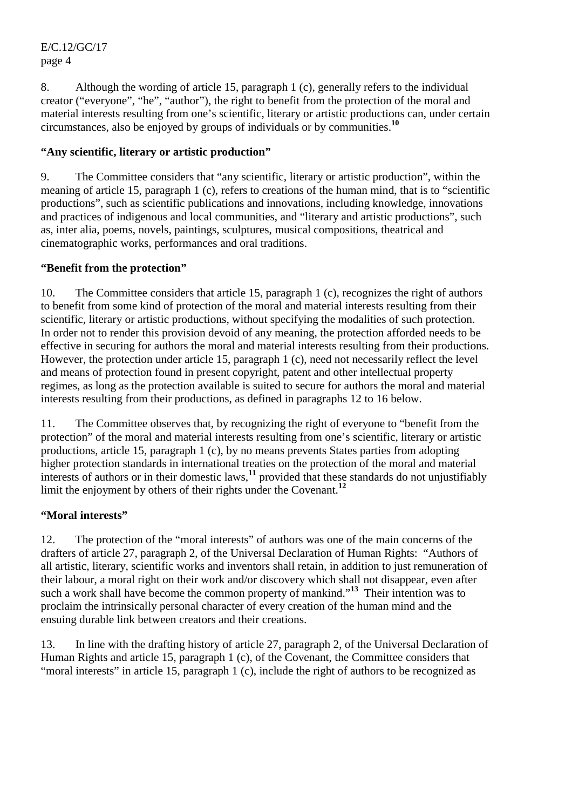8. Although the wording of article 15, paragraph 1 (c), generally refers to the individual creator ("everyone", "he", "author"), the right to benefit from the protection of the moral and material interests resulting from one's scientific, literary or artistic productions can, under certain circumstances, also be enjoyed by groups of individuals or by communities.**<sup>10</sup>**

# **"Any scientific, literary or artistic production"**

9. The Committee considers that "any scientific, literary or artistic production", within the meaning of article 15, paragraph 1 (c), refers to creations of the human mind, that is to "scientific productions", such as scientific publications and innovations, including knowledge, innovations and practices of indigenous and local communities, and "literary and artistic productions", such as, inter alia, poems, novels, paintings, sculptures, musical compositions, theatrical and cinematographic works, performances and oral traditions.

## **"Benefit from the protection"**

10. The Committee considers that article 15, paragraph 1 (c), recognizes the right of authors to benefit from some kind of protection of the moral and material interests resulting from their scientific, literary or artistic productions, without specifying the modalities of such protection. In order not to render this provision devoid of any meaning, the protection afforded needs to be effective in securing for authors the moral and material interests resulting from their productions. However, the protection under article 15, paragraph 1 (c), need not necessarily reflect the level and means of protection found in present copyright, patent and other intellectual property regimes, as long as the protection available is suited to secure for authors the moral and material interests resulting from their productions, as defined in paragraphs 12 to 16 below.

11. The Committee observes that, by recognizing the right of everyone to "benefit from the protection" of the moral and material interests resulting from one's scientific, literary or artistic productions, article 15, paragraph 1 (c), by no means prevents States parties from adopting higher protection standards in international treaties on the protection of the moral and material interests of authors or in their domestic laws,**<sup>11</sup>** provided that these standards do not unjustifiably limit the enjoyment by others of their rights under the Covenant.<sup>12</sup>

#### **"Moral interests"**

12. The protection of the "moral interests" of authors was one of the main concerns of the drafters of article 27, paragraph 2, of the Universal Declaration of Human Rights: "Authors of all artistic, literary, scientific works and inventors shall retain, in addition to just remuneration of their labour, a moral right on their work and/or discovery which shall not disappear, even after such a work shall have become the common property of mankind."<sup>13</sup> Their intention was to proclaim the intrinsically personal character of every creation of the human mind and the ensuing durable link between creators and their creations.

13. In line with the drafting history of article 27, paragraph 2, of the Universal Declaration of Human Rights and article 15, paragraph 1 (c), of the Covenant, the Committee considers that "moral interests" in article 15, paragraph 1 (c), include the right of authors to be recognized as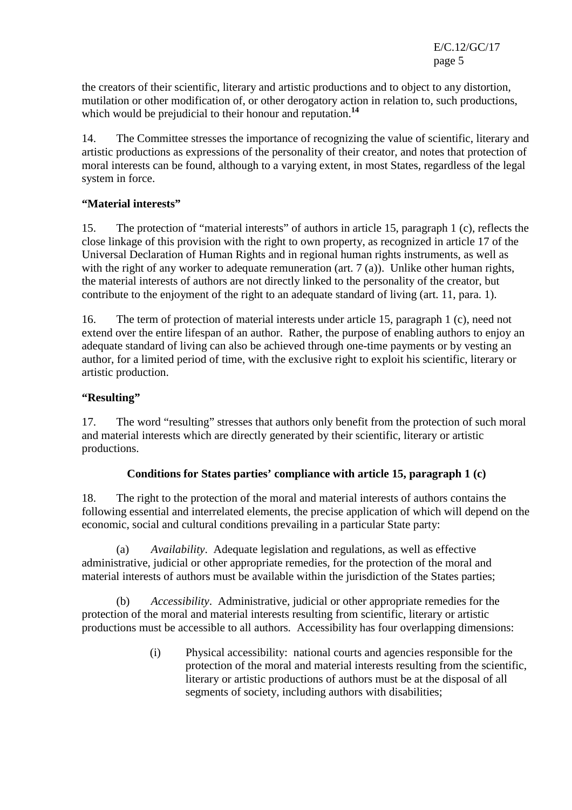the creators of their scientific, literary and artistic productions and to object to any distortion, mutilation or other modification of, or other derogatory action in relation to, such productions, which would be prejudicial to their honour and reputation.**<sup>14</sup>**

14. The Committee stresses the importance of recognizing the value of scientific, literary and artistic productions as expressions of the personality of their creator, and notes that protection of moral interests can be found, although to a varying extent, in most States, regardless of the legal system in force.

#### **"Material interests"**

15. The protection of "material interests" of authors in article 15, paragraph 1 (c), reflects the close linkage of this provision with the right to own property, as recognized in article 17 of the Universal Declaration of Human Rights and in regional human rights instruments, as well as with the right of any worker to adequate remuneration (art. 7 (a)). Unlike other human rights, the material interests of authors are not directly linked to the personality of the creator, but contribute to the enjoyment of the right to an adequate standard of living (art. 11, para. 1).

16. The term of protection of material interests under article 15, paragraph 1 (c), need not extend over the entire lifespan of an author. Rather, the purpose of enabling authors to enjoy an adequate standard of living can also be achieved through one-time payments or by vesting an author, for a limited period of time, with the exclusive right to exploit his scientific, literary or artistic production.

# **"Resulting"**

17. The word "resulting" stresses that authors only benefit from the protection of such moral and material interests which are directly generated by their scientific, literary or artistic productions.

# **Conditions for States parties' compliance with article 15, paragraph 1 (c)**

18. The right to the protection of the moral and material interests of authors contains the following essential and interrelated elements, the precise application of which will depend on the economic, social and cultural conditions prevailing in a particular State party:

 (a) *Availability*.Adequate legislation and regulations, as well as effective administrative, judicial or other appropriate remedies, for the protection of the moral and material interests of authors must be available within the jurisdiction of the States parties;

 (b) *Accessibility*.Administrative, judicial or other appropriate remedies for the protection of the moral and material interests resulting from scientific, literary or artistic productions must be accessible to all authors*.* Accessibility has four overlapping dimensions:

> (i) Physical accessibility: national courts and agencies responsible for the protection of the moral and material interests resulting from the scientific, literary or artistic productions of authors must be at the disposal of all segments of society, including authors with disabilities;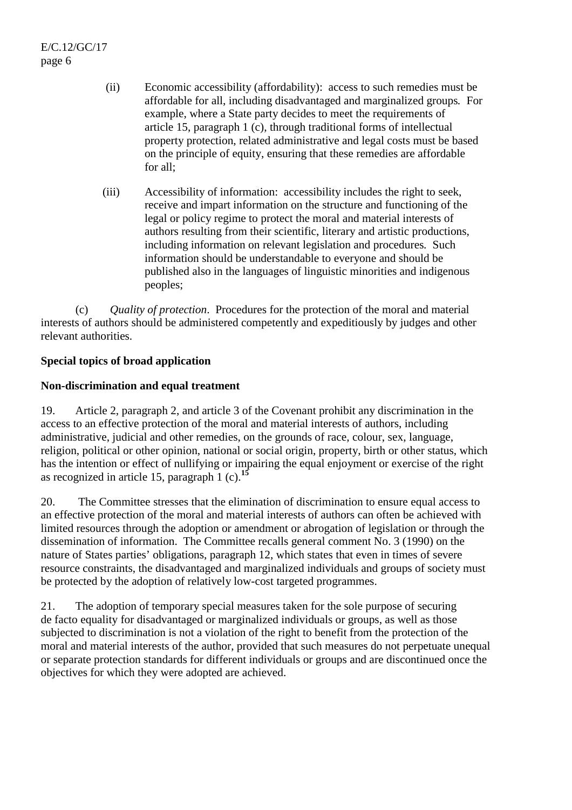- (ii) Economic accessibility (affordability): access to such remedies must be affordable for all, including disadvantaged and marginalized groups*.* For example, where a State party decides to meet the requirements of article 15, paragraph 1 (c), through traditional forms of intellectual property protection, related administrative and legal costs must be based on the principle of equity, ensuring that these remedies are affordable for all;
- (iii) Accessibility of information: accessibility includes the right to seek, receive and impart information on the structure and functioning of the legal or policy regime to protect the moral and material interests of authors resulting from their scientific, literary and artistic productions, including information on relevant legislation and procedures*.* Such information should be understandable to everyone and should be published also in the languages of linguistic minorities and indigenous peoples;

(c) *Quality of protection*.Procedures for the protection of the moral and material interests of authors should be administered competently and expeditiously by judges and other relevant authorities.

#### **Special topics of broad application**

## **Non-discrimination and equal treatment**

19. Article 2, paragraph 2, and article 3 of the Covenant prohibit any discrimination in the access to an effective protection of the moral and material interests of authors, including administrative, judicial and other remedies, on the grounds of race, colour, sex, language, religion, political or other opinion, national or social origin, property, birth or other status, which has the intention or effect of nullifying or impairing the equal enjoyment or exercise of the right as recognized in article 15, paragraph 1 (c).**<sup>15</sup>**

20. The Committee stresses that the elimination of discrimination to ensure equal access to an effective protection of the moral and material interests of authors can often be achieved with limited resources through the adoption or amendment or abrogation of legislation or through the dissemination of information. The Committee recalls general comment No. 3 (1990) on the nature of States parties' obligations, paragraph 12, which states that even in times of severe resource constraints, the disadvantaged and marginalized individuals and groups of society must be protected by the adoption of relatively low-cost targeted programmes.

21. The adoption of temporary special measures taken for the sole purpose of securing de facto equality for disadvantaged or marginalized individuals or groups, as well as those subjected to discrimination is not a violation of the right to benefit from the protection of the moral and material interests of the author, provided that such measures do not perpetuate unequal or separate protection standards for different individuals or groups and are discontinued once the objectives for which they were adopted are achieved.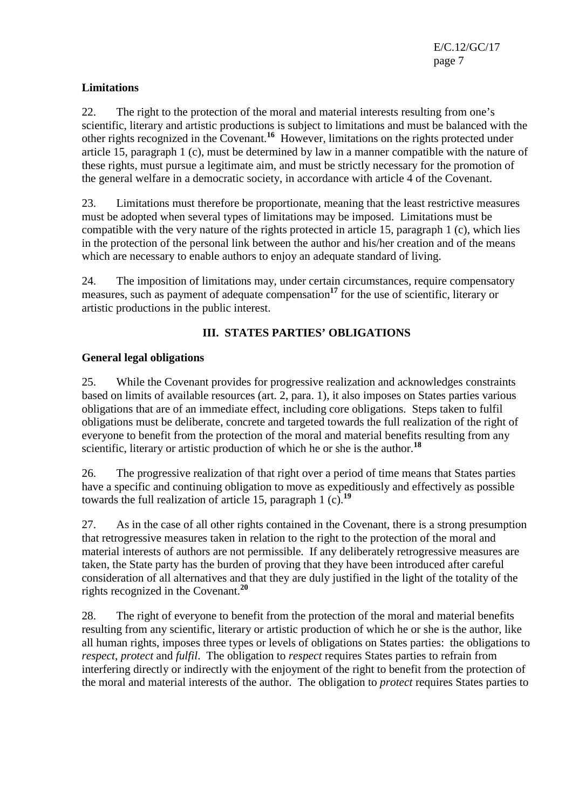# **Limitations**

22. The right to the protection of the moral and material interests resulting from one's scientific, literary and artistic productions is subject to limitations and must be balanced with the other rights recognized in the Covenant.**<sup>16</sup>** However, limitations on the rights protected under article 15, paragraph 1 (c), must be determined by law in a manner compatible with the nature of these rights, must pursue a legitimate aim, and must be strictly necessary for the promotion of the general welfare in a democratic society, in accordance with article 4 of the Covenant.

23. Limitations must therefore be proportionate, meaning that the least restrictive measures must be adopted when several types of limitations may be imposed. Limitations must be compatible with the very nature of the rights protected in article 15, paragraph 1 (c), which lies in the protection of the personal link between the author and his/her creation and of the means which are necessary to enable authors to enjoy an adequate standard of living.

24. The imposition of limitations may, under certain circumstances, require compensatory measures, such as payment of adequate compensation<sup>17</sup> for the use of scientific, literary or artistic productions in the public interest.

# **III. STATES PARTIES' OBLIGATIONS**

# **General legal obligations**

25. While the Covenant provides for progressive realization and acknowledges constraints based on limits of available resources (art. 2, para. 1), it also imposes on States parties various obligations that are of an immediate effect, including core obligations. Steps taken to fulfil obligations must be deliberate, concrete and targeted towards the full realization of the right of everyone to benefit from the protection of the moral and material benefits resulting from any scientific, literary or artistic production of which he or she is the author.**<sup>18</sup>**

26. The progressive realization of that right over a period of time means that States parties have a specific and continuing obligation to move as expeditiously and effectively as possible towards the full realization of article 15, paragraph 1 (c).**<sup>19</sup>**

27. As in the case of all other rights contained in the Covenant, there is a strong presumption that retrogressive measures taken in relation to the right to the protection of the moral and material interests of authors are not permissible. If any deliberately retrogressive measures are taken, the State party has the burden of proving that they have been introduced after careful consideration of all alternatives and that they are duly justified in the light of the totality of the rights recognized in the Covenant.**<sup>20</sup>**

28. The right of everyone to benefit from the protection of the moral and material benefits resulting from any scientific, literary or artistic production of which he or she is the author, like all human rights, imposes three types or levels of obligations on States parties: the obligations to *respect*, *protect* and *fulfil*. The obligation to *respect* requires States parties to refrain from interfering directly or indirectly with the enjoyment of the right to benefit from the protection of the moral and material interests of the author. The obligation to *protect* requires States parties to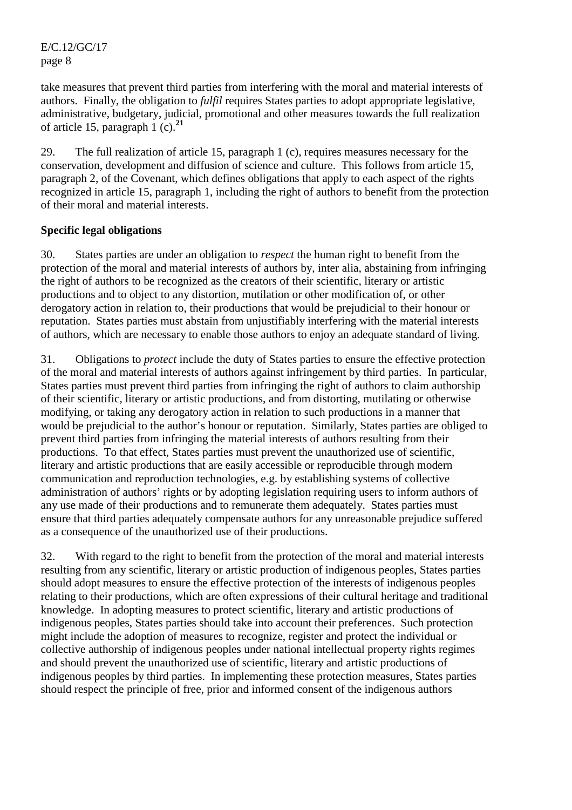take measures that prevent third parties from interfering with the moral and material interests of authors. Finally, the obligation to *fulfil* requires States parties to adopt appropriate legislative, administrative, budgetary, judicial, promotional and other measures towards the full realization of article 15, paragraph 1 (c).**<sup>21</sup>**

29. The full realization of article 15, paragraph 1 (c), requires measures necessary for the conservation, development and diffusion of science and culture. This follows from article 15, paragraph 2, of the Covenant, which defines obligations that apply to each aspect of the rights recognized in article 15, paragraph 1, including the right of authors to benefit from the protection of their moral and material interests.

#### **Specific legal obligations**

30. States parties are under an obligation to *respect* the human right to benefit from the protection of the moral and material interests of authors by, inter alia, abstaining from infringing the right of authors to be recognized as the creators of their scientific, literary or artistic productions and to object to any distortion, mutilation or other modification of, or other derogatory action in relation to, their productions that would be prejudicial to their honour or reputation. States parties must abstain from unjustifiably interfering with the material interests of authors, which are necessary to enable those authors to enjoy an adequate standard of living.

31. Obligations to *protect* include the duty of States parties to ensure the effective protection of the moral and material interests of authors against infringement by third parties. In particular, States parties must prevent third parties from infringing the right of authors to claim authorship of their scientific, literary or artistic productions, and from distorting, mutilating or otherwise modifying, or taking any derogatory action in relation to such productions in a manner that would be prejudicial to the author's honour or reputation. Similarly, States parties are obliged to prevent third parties from infringing the material interests of authors resulting from their productions. To that effect, States parties must prevent the unauthorized use of scientific, literary and artistic productions that are easily accessible or reproducible through modern communication and reproduction technologies, e.g. by establishing systems of collective administration of authors' rights or by adopting legislation requiring users to inform authors of any use made of their productions and to remunerate them adequately. States parties must ensure that third parties adequately compensate authors for any unreasonable prejudice suffered as a consequence of the unauthorized use of their productions.

32. With regard to the right to benefit from the protection of the moral and material interests resulting from any scientific, literary or artistic production of indigenous peoples, States parties should adopt measures to ensure the effective protection of the interests of indigenous peoples relating to their productions, which are often expressions of their cultural heritage and traditional knowledge. In adopting measures to protect scientific, literary and artistic productions of indigenous peoples, States parties should take into account their preferences. Such protection might include the adoption of measures to recognize, register and protect the individual or collective authorship of indigenous peoples under national intellectual property rights regimes and should prevent the unauthorized use of scientific, literary and artistic productions of indigenous peoples by third parties. In implementing these protection measures, States parties should respect the principle of free, prior and informed consent of the indigenous authors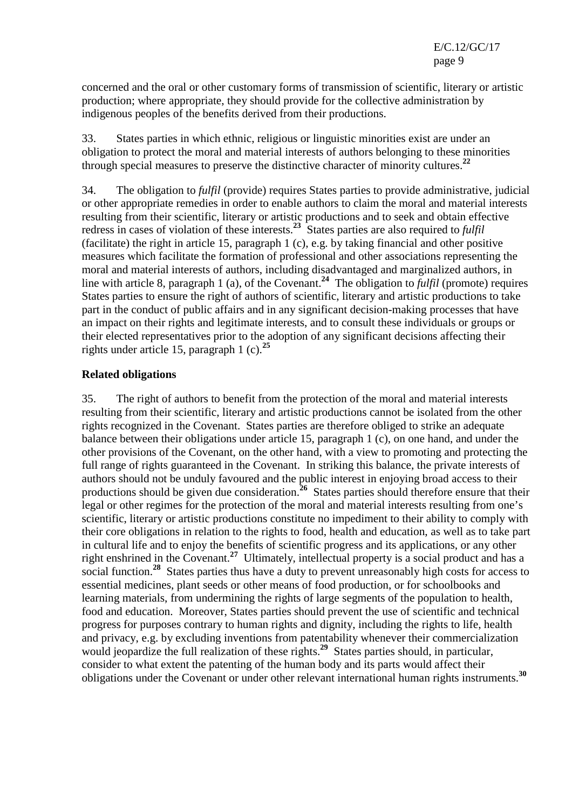concerned and the oral or other customary forms of transmission of scientific, literary or artistic production; where appropriate, they should provide for the collective administration by indigenous peoples of the benefits derived from their productions.

33. States parties in which ethnic, religious or linguistic minorities exist are under an obligation to protect the moral and material interests of authors belonging to these minorities through special measures to preserve the distinctive character of minority cultures.**<sup>22</sup>**

34. The obligation to *fulfil* (provide) requires States parties to provide administrative, judicial or other appropriate remedies in order to enable authors to claim the moral and material interests resulting from their scientific, literary or artistic productions and to seek and obtain effective redress in cases of violation of these interests.<sup>23</sup> States parties are also required to *fulfil* (facilitate) the right in article 15, paragraph 1 (c), e.g. by taking financial and other positive measures which facilitate the formation of professional and other associations representing the moral and material interests of authors, including disadvantaged and marginalized authors, in line with article 8, paragraph 1 (a), of the Covenant.**<sup>24</sup>** The obligation to *fulfil* (promote) requires States parties to ensure the right of authors of scientific, literary and artistic productions to take part in the conduct of public affairs and in any significant decision-making processes that have an impact on their rights and legitimate interests, and to consult these individuals or groups or their elected representatives prior to the adoption of any significant decisions affecting their rights under article 15, paragraph 1 (c).**<sup>25</sup>**

#### **Related obligations**

35. The right of authors to benefit from the protection of the moral and material interests resulting from their scientific, literary and artistic productions cannot be isolated from the other rights recognized in the Covenant. States parties are therefore obliged to strike an adequate balance between their obligations under article 15, paragraph 1 (c), on one hand, and under the other provisions of the Covenant, on the other hand, with a view to promoting and protecting the full range of rights guaranteed in the Covenant. In striking this balance, the private interests of authors should not be unduly favoured and the public interest in enjoying broad access to their productions should be given due consideration.<sup>26</sup> States parties should therefore ensure that their legal or other regimes for the protection of the moral and material interests resulting from one's scientific, literary or artistic productions constitute no impediment to their ability to comply with their core obligations in relation to the rights to food, health and education, as well as to take part in cultural life and to enjoy the benefits of scientific progress and its applications, or any other right enshrined in the Covenant.<sup>27</sup> Ultimately, intellectual property is a social product and has a social function.<sup>28</sup> States parties thus have a duty to prevent unreasonably high costs for access to essential medicines, plant seeds or other means of food production, or for schoolbooks and learning materials, from undermining the rights of large segments of the population to health, food and education. Moreover, States parties should prevent the use of scientific and technical progress for purposes contrary to human rights and dignity, including the rights to life, health and privacy, e.g. by excluding inventions from patentability whenever their commercialization would jeopardize the full realization of these rights.<sup>29</sup> States parties should, in particular, consider to what extent the patenting of the human body and its parts would affect their obligations under the Covenant or under other relevant international human rights instruments.**<sup>30</sup>**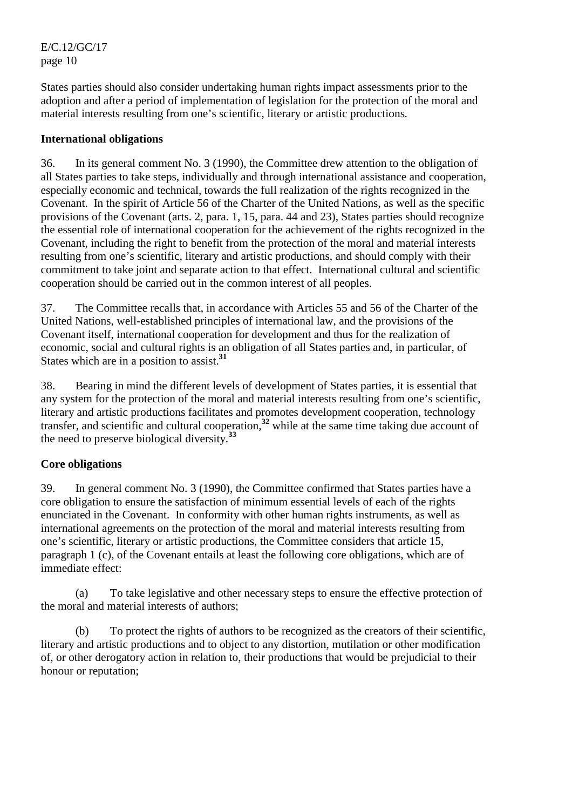States parties should also consider undertaking human rights impact assessments prior to the adoption and after a period of implementation of legislation for the protection of the moral and material interests resulting from one's scientific, literary or artistic productions*.*

### **International obligations**

36. In its general comment No. 3 (1990), the Committee drew attention to the obligation of all States parties to take steps, individually and through international assistance and cooperation, especially economic and technical, towards the full realization of the rights recognized in the Covenant. In the spirit of Article 56 of the Charter of the United Nations, as well as the specific provisions of the Covenant (arts. 2, para. 1, 15, para. 44 and 23), States parties should recognize the essential role of international cooperation for the achievement of the rights recognized in the Covenant, including the right to benefit from the protection of the moral and material interests resulting from one's scientific, literary and artistic productions, and should comply with their commitment to take joint and separate action to that effect. International cultural and scientific cooperation should be carried out in the common interest of all peoples.

37. The Committee recalls that, in accordance with Articles 55 and 56 of the Charter of the United Nations, well-established principles of international law, and the provisions of the Covenant itself, international cooperation for development and thus for the realization of economic, social and cultural rights is an obligation of all States parties and, in particular, of States which are in a position to assist.**<sup>31</sup>**

38. Bearing in mind the different levels of development of States parties, it is essential that any system for the protection of the moral and material interests resulting from one's scientific, literary and artistic productions facilitates and promotes development cooperation, technology transfer, and scientific and cultural cooperation,**<sup>32</sup>** while at the same time taking due account of the need to preserve biological diversity.**<sup>33</sup>**

# **Core obligations**

39. In general comment No. 3 (1990), the Committee confirmed that States parties have a core obligation to ensure the satisfaction of minimum essential levels of each of the rights enunciated in the Covenant. In conformity with other human rights instruments, as well as international agreements on the protection of the moral and material interests resulting from one's scientific, literary or artistic productions, the Committee considers that article 15, paragraph 1 (c), of the Covenant entails at least the following core obligations, which are of immediate effect:

 (a) To take legislative and other necessary steps to ensure the effective protection of the moral and material interests of authors;

 (b) To protect the rights of authors to be recognized as the creators of their scientific, literary and artistic productions and to object to any distortion, mutilation or other modification of, or other derogatory action in relation to, their productions that would be prejudicial to their honour or reputation;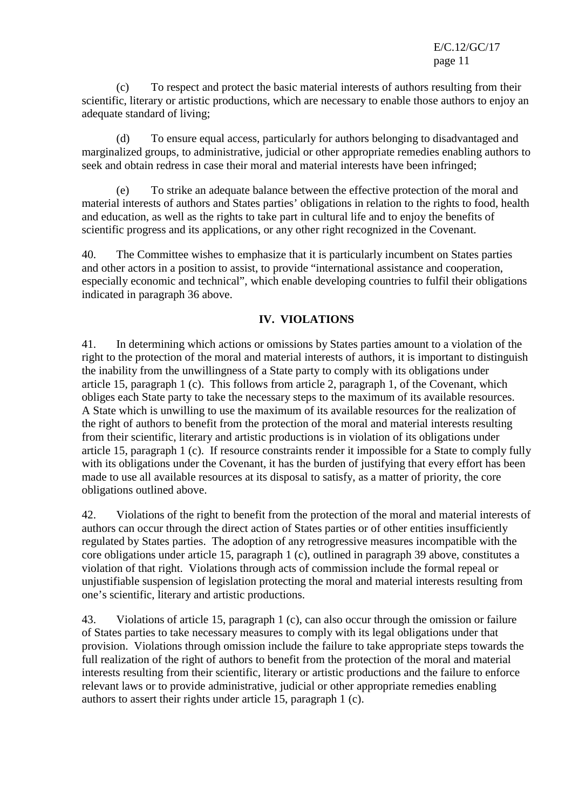(c) To respect and protect the basic material interests of authors resulting from their scientific, literary or artistic productions, which are necessary to enable those authors to enjoy an adequate standard of living;

 (d) To ensure equal access, particularly for authors belonging to disadvantaged and marginalized groups, to administrative, judicial or other appropriate remedies enabling authors to seek and obtain redress in case their moral and material interests have been infringed;

 (e) To strike an adequate balance between the effective protection of the moral and material interests of authors and States parties' obligations in relation to the rights to food, health and education, as well as the rights to take part in cultural life and to enjoy the benefits of scientific progress and its applications, or any other right recognized in the Covenant.

40. The Committee wishes to emphasize that it is particularly incumbent on States parties and other actors in a position to assist, to provide "international assistance and cooperation, especially economic and technical", which enable developing countries to fulfil their obligations indicated in paragraph 36 above.

## **IV. VIOLATIONS**

41. In determining which actions or omissions by States parties amount to a violation of the right to the protection of the moral and material interests of authors, it is important to distinguish the inability from the unwillingness of a State party to comply with its obligations under article 15, paragraph 1 (c). This follows from article 2, paragraph 1, of the Covenant, which obliges each State party to take the necessary steps to the maximum of its available resources. A State which is unwilling to use the maximum of its available resources for the realization of the right of authors to benefit from the protection of the moral and material interests resulting from their scientific, literary and artistic productions is in violation of its obligations under article 15, paragraph 1 (c). If resource constraints render it impossible for a State to comply fully with its obligations under the Covenant, it has the burden of justifying that every effort has been made to use all available resources at its disposal to satisfy, as a matter of priority, the core obligations outlined above.

42. Violations of the right to benefit from the protection of the moral and material interests of authors can occur through the direct action of States parties or of other entities insufficiently regulated by States parties. The adoption of any retrogressive measures incompatible with the core obligations under article 15, paragraph 1 (c), outlined in paragraph 39 above, constitutes a violation of that right. Violations through acts of commission include the formal repeal or unjustifiable suspension of legislation protecting the moral and material interests resulting from one's scientific, literary and artistic productions.

43. Violations of article 15, paragraph 1 (c), can also occur through the omission or failure of States parties to take necessary measures to comply with its legal obligations under that provision. Violations through omission include the failure to take appropriate steps towards the full realization of the right of authors to benefit from the protection of the moral and material interests resulting from their scientific, literary or artistic productions and the failure to enforce relevant laws or to provide administrative, judicial or other appropriate remedies enabling authors to assert their rights under article 15, paragraph 1 (c).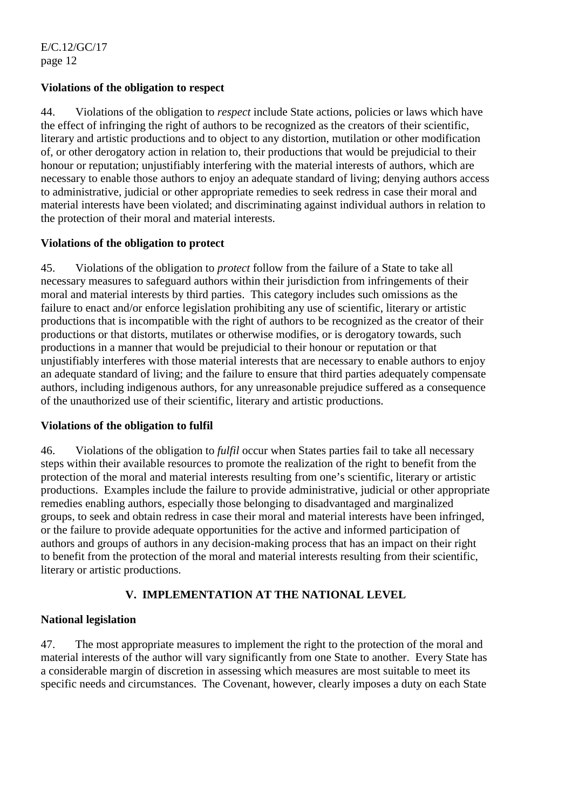#### **Violations of the obligation to respect**

44. Violations of the obligation to *respect* include State actions, policies or laws which have the effect of infringing the right of authors to be recognized as the creators of their scientific, literary and artistic productions and to object to any distortion, mutilation or other modification of, or other derogatory action in relation to, their productions that would be prejudicial to their honour or reputation; unjustifiably interfering with the material interests of authors, which are necessary to enable those authors to enjoy an adequate standard of living; denying authors access to administrative, judicial or other appropriate remedies to seek redress in case their moral and material interests have been violated; and discriminating against individual authors in relation to the protection of their moral and material interests.

#### **Violations of the obligation to protect**

45. Violations of the obligation to *protect* follow from the failure of a State to take all necessary measures to safeguard authors within their jurisdiction from infringements of their moral and material interests by third parties. This category includes such omissions as the failure to enact and/or enforce legislation prohibiting any use of scientific, literary or artistic productions that is incompatible with the right of authors to be recognized as the creator of their productions or that distorts, mutilates or otherwise modifies, or is derogatory towards, such productions in a manner that would be prejudicial to their honour or reputation or that unjustifiably interferes with those material interests that are necessary to enable authors to enjoy an adequate standard of living; and the failure to ensure that third parties adequately compensate authors, including indigenous authors, for any unreasonable prejudice suffered as a consequence of the unauthorized use of their scientific, literary and artistic productions.

#### **Violations of the obligation to fulfil**

46. Violations of the obligation to *fulfil* occur when States parties fail to take all necessary steps within their available resources to promote the realization of the right to benefit from the protection of the moral and material interests resulting from one's scientific, literary or artistic productions. Examples include the failure to provide administrative, judicial or other appropriate remedies enabling authors, especially those belonging to disadvantaged and marginalized groups, to seek and obtain redress in case their moral and material interests have been infringed, or the failure to provide adequate opportunities for the active and informed participation of authors and groups of authors in any decision-making process that has an impact on their right to benefit from the protection of the moral and material interests resulting from their scientific, literary or artistic productions.

#### **V. IMPLEMENTATION AT THE NATIONAL LEVEL**

#### **National legislation**

47. The most appropriate measures to implement the right to the protection of the moral and material interests of the author will vary significantly from one State to another. Every State has a considerable margin of discretion in assessing which measures are most suitable to meet its specific needs and circumstances. The Covenant, however, clearly imposes a duty on each State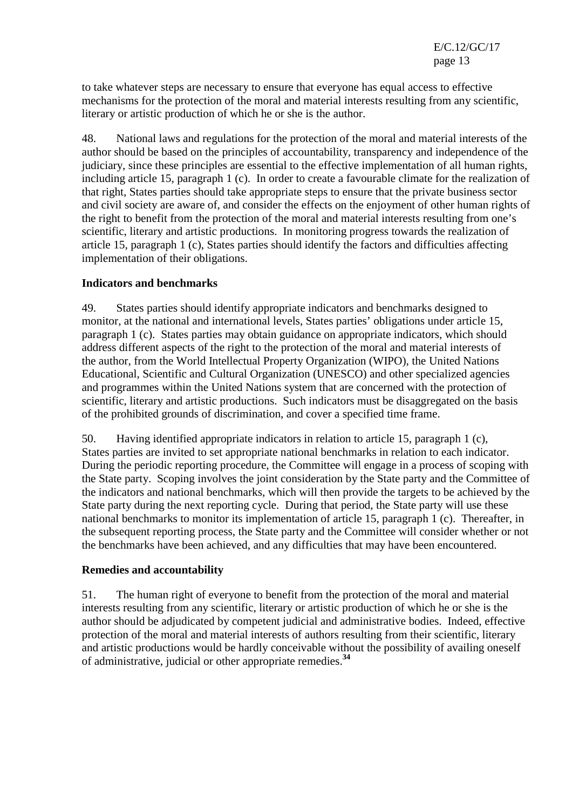to take whatever steps are necessary to ensure that everyone has equal access to effective mechanisms for the protection of the moral and material interests resulting from any scientific, literary or artistic production of which he or she is the author.

48. National laws and regulations for the protection of the moral and material interests of the author should be based on the principles of accountability, transparency and independence of the judiciary, since these principles are essential to the effective implementation of all human rights, including article 15, paragraph 1 (c). In order to create a favourable climate for the realization of that right, States parties should take appropriate steps to ensure that the private business sector and civil society are aware of, and consider the effects on the enjoyment of other human rights of the right to benefit from the protection of the moral and material interests resulting from one's scientific, literary and artistic productions. In monitoring progress towards the realization of article 15, paragraph 1 (c), States parties should identify the factors and difficulties affecting implementation of their obligations.

#### **Indicators and benchmarks**

49. States parties should identify appropriate indicators and benchmarks designed to monitor, at the national and international levels, States parties' obligations under article 15, paragraph 1 (c). States parties may obtain guidance on appropriate indicators, which should address different aspects of the right to the protection of the moral and material interests of the author, from the World Intellectual Property Organization (WIPO), the United Nations Educational, Scientific and Cultural Organization (UNESCO) and other specialized agencies and programmes within the United Nations system that are concerned with the protection of scientific, literary and artistic productions. Such indicators must be disaggregated on the basis of the prohibited grounds of discrimination, and cover a specified time frame.

50. Having identified appropriate indicators in relation to article 15, paragraph 1 (c), States parties are invited to set appropriate national benchmarks in relation to each indicator. During the periodic reporting procedure, the Committee will engage in a process of scoping with the State party. Scoping involves the joint consideration by the State party and the Committee of the indicators and national benchmarks, which will then provide the targets to be achieved by the State party during the next reporting cycle. During that period, the State party will use these national benchmarks to monitor its implementation of article 15, paragraph 1 (c). Thereafter, in the subsequent reporting process, the State party and the Committee will consider whether or not the benchmarks have been achieved, and any difficulties that may have been encountered.

#### **Remedies and accountability**

51. The human right of everyone to benefit from the protection of the moral and material interests resulting from any scientific, literary or artistic production of which he or she is the author should be adjudicated by competent judicial and administrative bodies. Indeed, effective protection of the moral and material interests of authors resulting from their scientific, literary and artistic productions would be hardly conceivable without the possibility of availing oneself of administrative, judicial or other appropriate remedies.**<sup>34</sup>**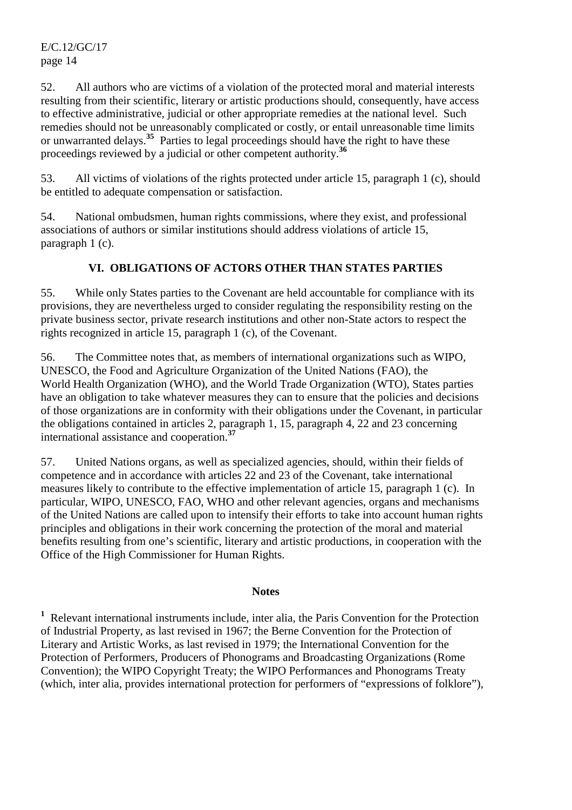52. All authors who are victims of a violation of the protected moral and material interests resulting from their scientific, literary or artistic productions should, consequently, have access to effective administrative, judicial or other appropriate remedies at the national level. Such remedies should not be unreasonably complicated or costly, or entail unreasonable time limits or unwarranted delays.**<sup>35</sup>** Parties to legal proceedings should have the right to have these proceedings reviewed by a judicial or other competent authority.**<sup>36</sup>**

53. All victims of violations of the rights protected under article 15, paragraph 1 (c), should be entitled to adequate compensation or satisfaction.

54. National ombudsmen, human rights commissions, where they exist, and professional associations of authors or similar institutions should address violations of article 15, paragraph 1 (c).

# **VI. OBLIGATIONS OF ACTORS OTHER THAN STATES PARTIES**

55. While only States parties to the Covenant are held accountable for compliance with its provisions, they are nevertheless urged to consider regulating the responsibility resting on the private business sector, private research institutions and other non-State actors to respect the rights recognized in article 15, paragraph 1 (c), of the Covenant.

56. The Committee notes that, as members of international organizations such as WIPO, UNESCO, the Food and Agriculture Organization of the United Nations (FAO), the World Health Organization (WHO), and the World Trade Organization (WTO), States parties have an obligation to take whatever measures they can to ensure that the policies and decisions of those organizations are in conformity with their obligations under the Covenant, in particular the obligations contained in articles 2, paragraph 1, 15, paragraph 4, 22 and 23 concerning international assistance and cooperation.**<sup>37</sup>**

57. United Nations organs, as well as specialized agencies, should, within their fields of competence and in accordance with articles 22 and 23 of the Covenant, take international measures likely to contribute to the effective implementation of article 15, paragraph 1 (c). In particular, WIPO, UNESCO, FAO, WHO and other relevant agencies, organs and mechanisms of the United Nations are called upon to intensify their efforts to take into account human rights principles and obligations in their work concerning the protection of the moral and material benefits resulting from one's scientific, literary and artistic productions, in cooperation with the Office of the High Commissioner for Human Rights.

#### **Notes**

<sup>1</sup> Relevant international instruments include, inter alia, the Paris Convention for the Protection of Industrial Property, as last revised in 1967; the Berne Convention for the Protection of Literary and Artistic Works, as last revised in 1979; the International Convention for the Protection of Performers, Producers of Phonograms and Broadcasting Organizations (Rome Convention); the WIPO Copyright Treaty; the WIPO Performances and Phonograms Treaty (which, inter alia, provides international protection for performers of "expressions of folklore"),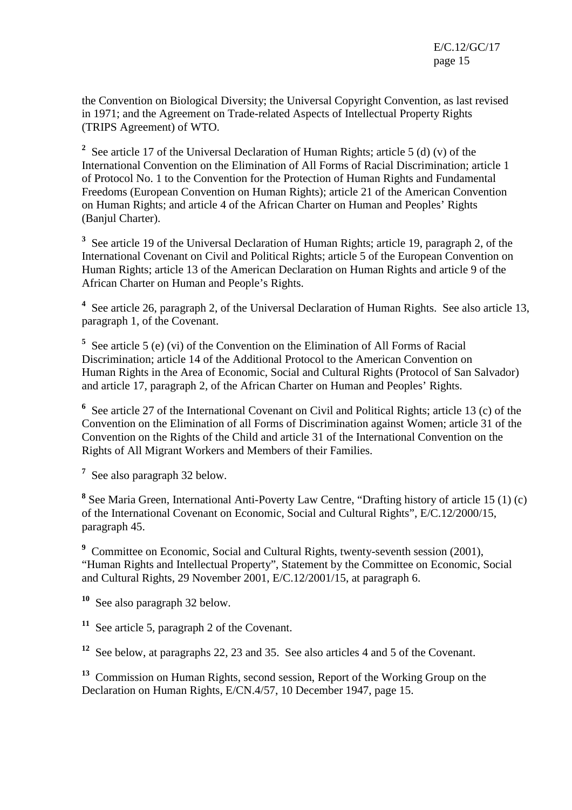the Convention on Biological Diversity; the Universal Copyright Convention, as last revised in 1971; and the Agreement on Trade-related Aspects of Intellectual Property Rights (TRIPS Agreement) of WTO.

<sup>2</sup> See article 17 of the Universal Declaration of Human Rights; article 5 (d) (v) of the International Convention on the Elimination of All Forms of Racial Discrimination; article 1 of Protocol No. 1 to the Convention for the Protection of Human Rights and Fundamental Freedoms (European Convention on Human Rights); article 21 of the American Convention on Human Rights; and article 4 of the African Charter on Human and Peoples' Rights (Banjul Charter).

<sup>3</sup> See article 19 of the Universal Declaration of Human Rights; article 19, paragraph 2, of the International Covenant on Civil and Political Rights; article 5 of the European Convention on Human Rights; article 13 of the American Declaration on Human Rights and article 9 of the African Charter on Human and People's Rights.

<sup>4</sup> See article 26, paragraph 2, of the Universal Declaration of Human Rights. See also article 13, paragraph 1, of the Covenant.

<sup>5</sup> See article 5 (e) (vi) of the Convention on the Elimination of All Forms of Racial Discrimination; article 14 of the Additional Protocol to the American Convention on Human Rights in the Area of Economic, Social and Cultural Rights (Protocol of San Salvador) and article 17, paragraph 2, of the African Charter on Human and Peoples' Rights.

<sup>6</sup> See article 27 of the International Covenant on Civil and Political Rights; article 13 (c) of the Convention on the Elimination of all Forms of Discrimination against Women; article 31 of the Convention on the Rights of the Child and article 31 of the International Convention on the Rights of All Migrant Workers and Members of their Families.

**7** See also paragraph 32 below.

<sup>8</sup> See Maria Green, International Anti-Poverty Law Centre, "Drafting history of article 15 (1) (c) of the International Covenant on Economic, Social and Cultural Rights", E/C.12/2000/15, paragraph 45.

<sup>9</sup> Committee on Economic, Social and Cultural Rights, twenty-seventh session (2001), "Human Rights and Intellectual Property", Statement by the Committee on Economic, Social and Cultural Rights, 29 November 2001, E/C.12/2001/15, at paragraph 6.

**<sup>10</sup>** See also paragraph 32 below.

**<sup>11</sup>** See article 5, paragraph 2 of the Covenant.

**<sup>12</sup>** See below, at paragraphs 22, 23 and 35. See also articles 4 and 5 of the Covenant.

**<sup>13</sup>** Commission on Human Rights, second session, Report of the Working Group on the Declaration on Human Rights, E/CN.4/57, 10 December 1947, page 15.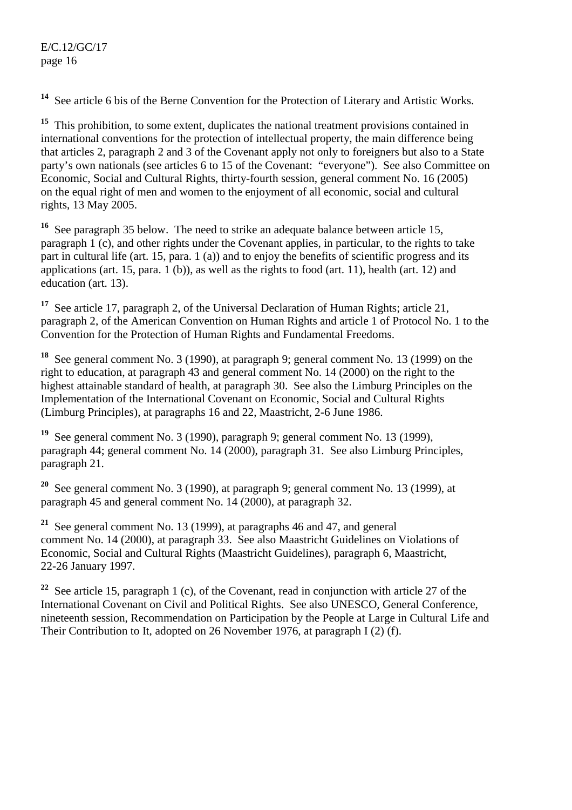See article 6 bis of the Berne Convention for the Protection of Literary and Artistic Works.

<sup>15</sup> This prohibition, to some extent, duplicates the national treatment provisions contained in international conventions for the protection of intellectual property, the main difference being that articles 2, paragraph 2 and 3 of the Covenant apply not only to foreigners but also to a State party's own nationals (see articles 6 to 15 of the Covenant: "everyone"). See also Committee on Economic, Social and Cultural Rights, thirty-fourth session, general comment No. 16 (2005) on the equal right of men and women to the enjoyment of all economic, social and cultural rights, 13 May 2005.

**<sup>16</sup>** See paragraph 35 below. The need to strike an adequate balance between article 15, paragraph 1 (c), and other rights under the Covenant applies, in particular, to the rights to take part in cultural life (art. 15, para. 1 (a)) and to enjoy the benefits of scientific progress and its applications (art. 15, para.  $1$  (b)), as well as the rights to food (art. 11), health (art. 12) and education (art. 13).

**<sup>17</sup>** See article 17, paragraph 2, of the Universal Declaration of Human Rights; article 21, paragraph 2, of the American Convention on Human Rights and article 1 of Protocol No. 1 to the Convention for the Protection of Human Rights and Fundamental Freedoms.

**<sup>18</sup>** See general comment No. 3 (1990), at paragraph 9; general comment No. 13 (1999) on the right to education, at paragraph 43 and general comment No. 14 (2000) on the right to the highest attainable standard of health, at paragraph 30. See also the Limburg Principles on the Implementation of the International Covenant on Economic, Social and Cultural Rights (Limburg Principles), at paragraphs 16 and 22, Maastricht, 2-6 June 1986.

**<sup>19</sup>** See general comment No. 3 (1990), paragraph 9; general comment No. 13 (1999), paragraph 44; general comment No. 14 (2000), paragraph 31. See also Limburg Principles, paragraph 21.

**<sup>20</sup>** See general comment No. 3 (1990), at paragraph 9; general comment No. 13 (1999), at paragraph 45 and general comment No. 14 (2000), at paragraph 32.

**<sup>21</sup>** See general comment No. 13 (1999), at paragraphs 46 and 47, and general comment No. 14 (2000), at paragraph 33. See also Maastricht Guidelines on Violations of Economic, Social and Cultural Rights (Maastricht Guidelines), paragraph 6, Maastricht, 22-26 January 1997.

<sup>22</sup> See article 15, paragraph 1 (c), of the Covenant, read in conjunction with article 27 of the International Covenant on Civil and Political Rights. See also UNESCO, General Conference, nineteenth session, Recommendation on Participation by the People at Large in Cultural Life and Their Contribution to It, adopted on 26 November 1976, at paragraph I (2) (f).